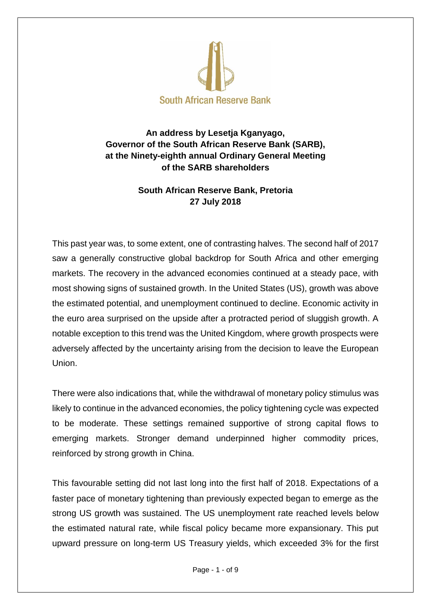

## **An address by Lesetja Kganyago, Governor of the South African Reserve Bank (SARB), at the Ninety-eighth annual Ordinary General Meeting of the SARB shareholders**

## **South African Reserve Bank, Pretoria 27 July 2018**

This past year was, to some extent, one of contrasting halves. The second half of 2017 saw a generally constructive global backdrop for South Africa and other emerging markets. The recovery in the advanced economies continued at a steady pace, with most showing signs of sustained growth. In the United States (US), growth was above the estimated potential, and unemployment continued to decline. Economic activity in the euro area surprised on the upside after a protracted period of sluggish growth. A notable exception to this trend was the United Kingdom, where growth prospects were adversely affected by the uncertainty arising from the decision to leave the European Union.

There were also indications that, while the withdrawal of monetary policy stimulus was likely to continue in the advanced economies, the policy tightening cycle was expected to be moderate. These settings remained supportive of strong capital flows to emerging markets. Stronger demand underpinned higher commodity prices, reinforced by strong growth in China.

This favourable setting did not last long into the first half of 2018. Expectations of a faster pace of monetary tightening than previously expected began to emerge as the strong US growth was sustained. The US unemployment rate reached levels below the estimated natural rate, while fiscal policy became more expansionary. This put upward pressure on long-term US Treasury yields, which exceeded 3% for the first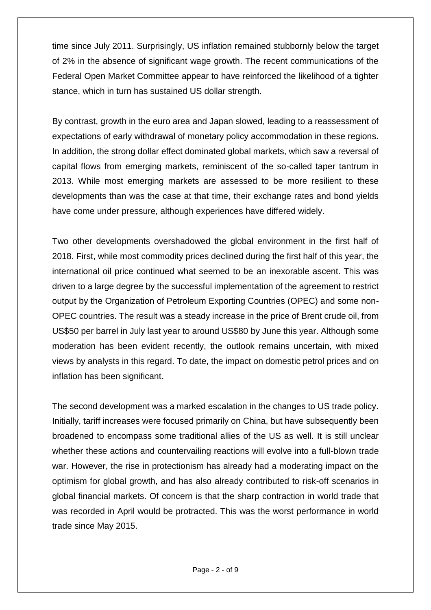time since July 2011. Surprisingly, US inflation remained stubbornly below the target of 2% in the absence of significant wage growth. The recent communications of the Federal Open Market Committee appear to have reinforced the likelihood of a tighter stance, which in turn has sustained US dollar strength.

By contrast, growth in the euro area and Japan slowed, leading to a reassessment of expectations of early withdrawal of monetary policy accommodation in these regions. In addition, the strong dollar effect dominated global markets, which saw a reversal of capital flows from emerging markets, reminiscent of the so-called taper tantrum in 2013. While most emerging markets are assessed to be more resilient to these developments than was the case at that time, their exchange rates and bond yields have come under pressure, although experiences have differed widely.

Two other developments overshadowed the global environment in the first half of 2018. First, while most commodity prices declined during the first half of this year, the international oil price continued what seemed to be an inexorable ascent. This was driven to a large degree by the successful implementation of the agreement to restrict output by the Organization of Petroleum Exporting Countries (OPEC) and some non-OPEC countries. The result was a steady increase in the price of Brent crude oil, from US\$50 per barrel in July last year to around US\$80 by June this year. Although some moderation has been evident recently, the outlook remains uncertain, with mixed views by analysts in this regard. To date, the impact on domestic petrol prices and on inflation has been significant.

The second development was a marked escalation in the changes to US trade policy. Initially, tariff increases were focused primarily on China, but have subsequently been broadened to encompass some traditional allies of the US as well. It is still unclear whether these actions and countervailing reactions will evolve into a full-blown trade war. However, the rise in protectionism has already had a moderating impact on the optimism for global growth, and has also already contributed to risk-off scenarios in global financial markets. Of concern is that the sharp contraction in world trade that was recorded in April would be protracted. This was the worst performance in world trade since May 2015.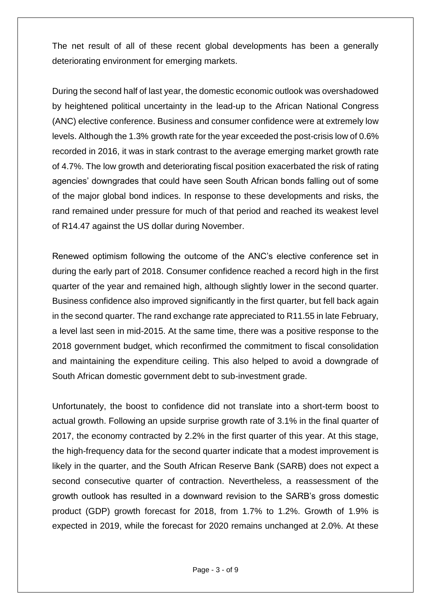The net result of all of these recent global developments has been a generally deteriorating environment for emerging markets.

During the second half of last year, the domestic economic outlook was overshadowed by heightened political uncertainty in the lead-up to the African National Congress (ANC) elective conference. Business and consumer confidence were at extremely low levels. Although the 1.3% growth rate for the year exceeded the post-crisis low of 0.6% recorded in 2016, it was in stark contrast to the average emerging market growth rate of 4.7%. The low growth and deteriorating fiscal position exacerbated the risk of rating agencies' downgrades that could have seen South African bonds falling out of some of the major global bond indices. In response to these developments and risks, the rand remained under pressure for much of that period and reached its weakest level of R14.47 against the US dollar during November.

Renewed optimism following the outcome of the ANC's elective conference set in during the early part of 2018. Consumer confidence reached a record high in the first quarter of the year and remained high, although slightly lower in the second quarter. Business confidence also improved significantly in the first quarter, but fell back again in the second quarter. The rand exchange rate appreciated to R11.55 in late February, a level last seen in mid-2015. At the same time, there was a positive response to the 2018 government budget, which reconfirmed the commitment to fiscal consolidation and maintaining the expenditure ceiling. This also helped to avoid a downgrade of South African domestic government debt to sub-investment grade.

Unfortunately, the boost to confidence did not translate into a short-term boost to actual growth. Following an upside surprise growth rate of 3.1% in the final quarter of 2017, the economy contracted by 2.2% in the first quarter of this year. At this stage, the high-frequency data for the second quarter indicate that a modest improvement is likely in the quarter, and the South African Reserve Bank (SARB) does not expect a second consecutive quarter of contraction. Nevertheless, a reassessment of the growth outlook has resulted in a downward revision to the SARB's gross domestic product (GDP) growth forecast for 2018, from 1.7% to 1.2%. Growth of 1.9% is expected in 2019, while the forecast for 2020 remains unchanged at 2.0%. At these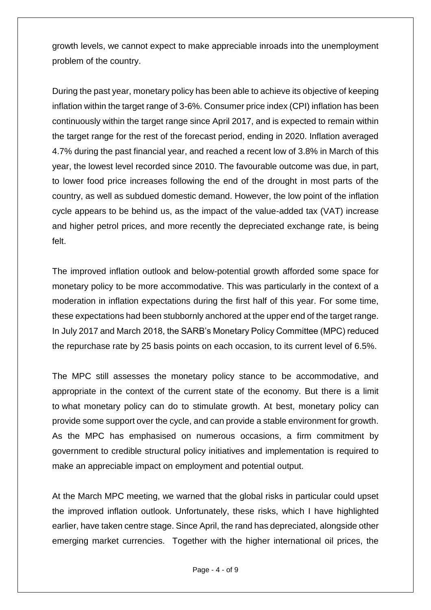growth levels, we cannot expect to make appreciable inroads into the unemployment problem of the country.

During the past year, monetary policy has been able to achieve its objective of keeping inflation within the target range of 3-6%. Consumer price index (CPI) inflation has been continuously within the target range since April 2017, and is expected to remain within the target range for the rest of the forecast period, ending in 2020. Inflation averaged 4.7% during the past financial year, and reached a recent low of 3.8% in March of this year, the lowest level recorded since 2010. The favourable outcome was due, in part, to lower food price increases following the end of the drought in most parts of the country, as well as subdued domestic demand. However, the low point of the inflation cycle appears to be behind us, as the impact of the value-added tax (VAT) increase and higher petrol prices, and more recently the depreciated exchange rate, is being felt.

The improved inflation outlook and below-potential growth afforded some space for monetary policy to be more accommodative. This was particularly in the context of a moderation in inflation expectations during the first half of this year. For some time, these expectations had been stubbornly anchored at the upper end of the target range. In July 2017 and March 2018, the SARB's Monetary Policy Committee (MPC) reduced the repurchase rate by 25 basis points on each occasion, to its current level of 6.5%.

The MPC still assesses the monetary policy stance to be accommodative, and appropriate in the context of the current state of the economy. But there is a limit to what monetary policy can do to stimulate growth. At best, monetary policy can provide some support over the cycle, and can provide a stable environment for growth. As the MPC has emphasised on numerous occasions, a firm commitment by government to credible structural policy initiatives and implementation is required to make an appreciable impact on employment and potential output.

At the March MPC meeting, we warned that the global risks in particular could upset the improved inflation outlook. Unfortunately, these risks, which I have highlighted earlier, have taken centre stage. Since April, the rand has depreciated, alongside other emerging market currencies. Together with the higher international oil prices, the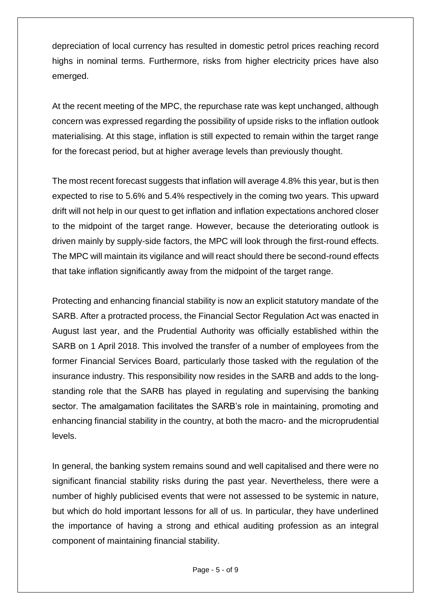depreciation of local currency has resulted in domestic petrol prices reaching record highs in nominal terms. Furthermore, risks from higher electricity prices have also emerged.

At the recent meeting of the MPC, the repurchase rate was kept unchanged, although concern was expressed regarding the possibility of upside risks to the inflation outlook materialising. At this stage, inflation is still expected to remain within the target range for the forecast period, but at higher average levels than previously thought.

The most recent forecast suggests that inflation will average 4.8% this year, but is then expected to rise to 5.6% and 5.4% respectively in the coming two years. This upward drift will not help in our quest to get inflation and inflation expectations anchored closer to the midpoint of the target range. However, because the deteriorating outlook is driven mainly by supply-side factors, the MPC will look through the first-round effects. The MPC will maintain its vigilance and will react should there be second-round effects that take inflation significantly away from the midpoint of the target range.

Protecting and enhancing financial stability is now an explicit statutory mandate of the SARB. After a protracted process, the Financial Sector Regulation Act was enacted in August last year, and the Prudential Authority was officially established within the SARB on 1 April 2018. This involved the transfer of a number of employees from the former Financial Services Board, particularly those tasked with the regulation of the insurance industry. This responsibility now resides in the SARB and adds to the longstanding role that the SARB has played in regulating and supervising the banking sector. The amalgamation facilitates the SARB's role in maintaining, promoting and enhancing financial stability in the country, at both the macro- and the microprudential levels.

In general, the banking system remains sound and well capitalised and there were no significant financial stability risks during the past year. Nevertheless, there were a number of highly publicised events that were not assessed to be systemic in nature, but which do hold important lessons for all of us. In particular, they have underlined the importance of having a strong and ethical auditing profession as an integral component of maintaining financial stability.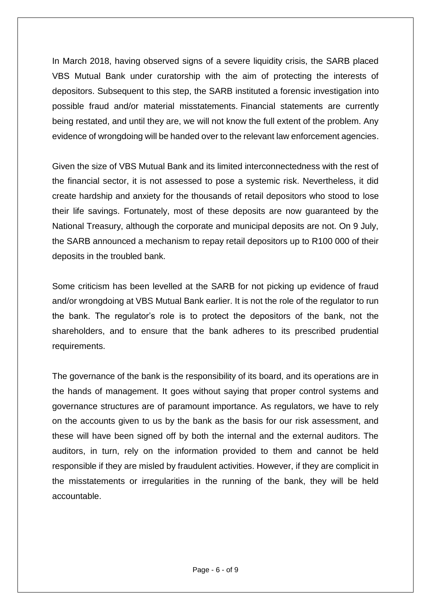In March 2018, having observed signs of a severe liquidity crisis, the SARB placed VBS Mutual Bank under curatorship with the aim of protecting the interests of depositors. Subsequent to this step, the SARB instituted a forensic investigation into possible fraud and/or material misstatements. Financial statements are currently being restated, and until they are, we will not know the full extent of the problem. Any evidence of wrongdoing will be handed over to the relevant law enforcement agencies.

Given the size of VBS Mutual Bank and its limited interconnectedness with the rest of the financial sector, it is not assessed to pose a systemic risk. Nevertheless, it did create hardship and anxiety for the thousands of retail depositors who stood to lose their life savings. Fortunately, most of these deposits are now guaranteed by the National Treasury, although the corporate and municipal deposits are not. On 9 July, the SARB announced a mechanism to repay retail depositors up to R100 000 of their deposits in the troubled bank.

Some criticism has been levelled at the SARB for not picking up evidence of fraud and/or wrongdoing at VBS Mutual Bank earlier. It is not the role of the regulator to run the bank. The regulator's role is to protect the depositors of the bank, not the shareholders, and to ensure that the bank adheres to its prescribed prudential requirements.

The governance of the bank is the responsibility of its board, and its operations are in the hands of management. It goes without saying that proper control systems and governance structures are of paramount importance. As regulators, we have to rely on the accounts given to us by the bank as the basis for our risk assessment, and these will have been signed off by both the internal and the external auditors. The auditors, in turn, rely on the information provided to them and cannot be held responsible if they are misled by fraudulent activities. However, if they are complicit in the misstatements or irregularities in the running of the bank, they will be held accountable.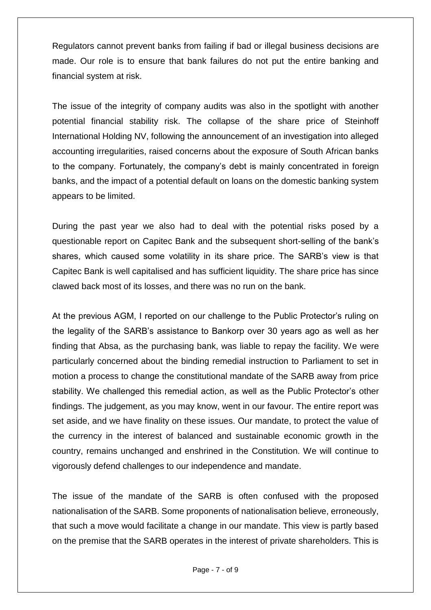Regulators cannot prevent banks from failing if bad or illegal business decisions are made. Our role is to ensure that bank failures do not put the entire banking and financial system at risk.

The issue of the integrity of company audits was also in the spotlight with another potential financial stability risk. The collapse of the share price of Steinhoff International Holding NV, following the announcement of an investigation into alleged accounting irregularities, raised concerns about the exposure of South African banks to the company. Fortunately, the company's debt is mainly concentrated in foreign banks, and the impact of a potential default on loans on the domestic banking system appears to be limited.

During the past year we also had to deal with the potential risks posed by a questionable report on Capitec Bank and the subsequent short-selling of the bank's shares, which caused some volatility in its share price. The SARB's view is that Capitec Bank is well capitalised and has sufficient liquidity. The share price has since clawed back most of its losses, and there was no run on the bank.

At the previous AGM, I reported on our challenge to the Public Protector's ruling on the legality of the SARB's assistance to Bankorp over 30 years ago as well as her finding that Absa, as the purchasing bank, was liable to repay the facility. We were particularly concerned about the binding remedial instruction to Parliament to set in motion a process to change the constitutional mandate of the SARB away from price stability. We challenged this remedial action, as well as the Public Protector's other findings. The judgement, as you may know, went in our favour. The entire report was set aside, and we have finality on these issues. Our mandate, to protect the value of the currency in the interest of balanced and sustainable economic growth in the country, remains unchanged and enshrined in the Constitution. We will continue to vigorously defend challenges to our independence and mandate.

The issue of the mandate of the SARB is often confused with the proposed nationalisation of the SARB. Some proponents of nationalisation believe, erroneously, that such a move would facilitate a change in our mandate. This view is partly based on the premise that the SARB operates in the interest of private shareholders. This is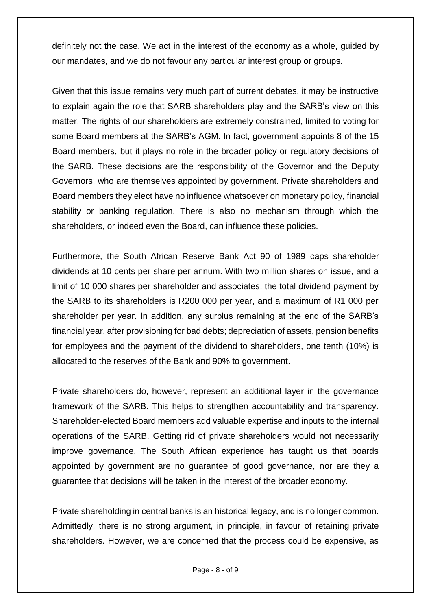definitely not the case. We act in the interest of the economy as a whole, guided by our mandates, and we do not favour any particular interest group or groups.

Given that this issue remains very much part of current debates, it may be instructive to explain again the role that SARB shareholders play and the SARB's view on this matter. The rights of our shareholders are extremely constrained, limited to voting for some Board members at the SARB's AGM. In fact, government appoints 8 of the 15 Board members, but it plays no role in the broader policy or regulatory decisions of the SARB. These decisions are the responsibility of the Governor and the Deputy Governors, who are themselves appointed by government. Private shareholders and Board members they elect have no influence whatsoever on monetary policy, financial stability or banking regulation. There is also no mechanism through which the shareholders, or indeed even the Board, can influence these policies.

Furthermore, the South African Reserve Bank Act 90 of 1989 caps shareholder dividends at 10 cents per share per annum. With two million shares on issue, and a limit of 10 000 shares per shareholder and associates, the total dividend payment by the SARB to its shareholders is R200 000 per year, and a maximum of R1 000 per shareholder per year. In addition, any surplus remaining at the end of the SARB's financial year, after provisioning for bad debts; depreciation of assets, pension benefits for employees and the payment of the dividend to shareholders, one tenth (10%) is allocated to the reserves of the Bank and 90% to government.

Private shareholders do, however, represent an additional layer in the governance framework of the SARB. This helps to strengthen accountability and transparency. Shareholder-elected Board members add valuable expertise and inputs to the internal operations of the SARB. Getting rid of private shareholders would not necessarily improve governance. The South African experience has taught us that boards appointed by government are no guarantee of good governance, nor are they a guarantee that decisions will be taken in the interest of the broader economy.

Private shareholding in central banks is an historical legacy, and is no longer common. Admittedly, there is no strong argument, in principle, in favour of retaining private shareholders. However, we are concerned that the process could be expensive, as